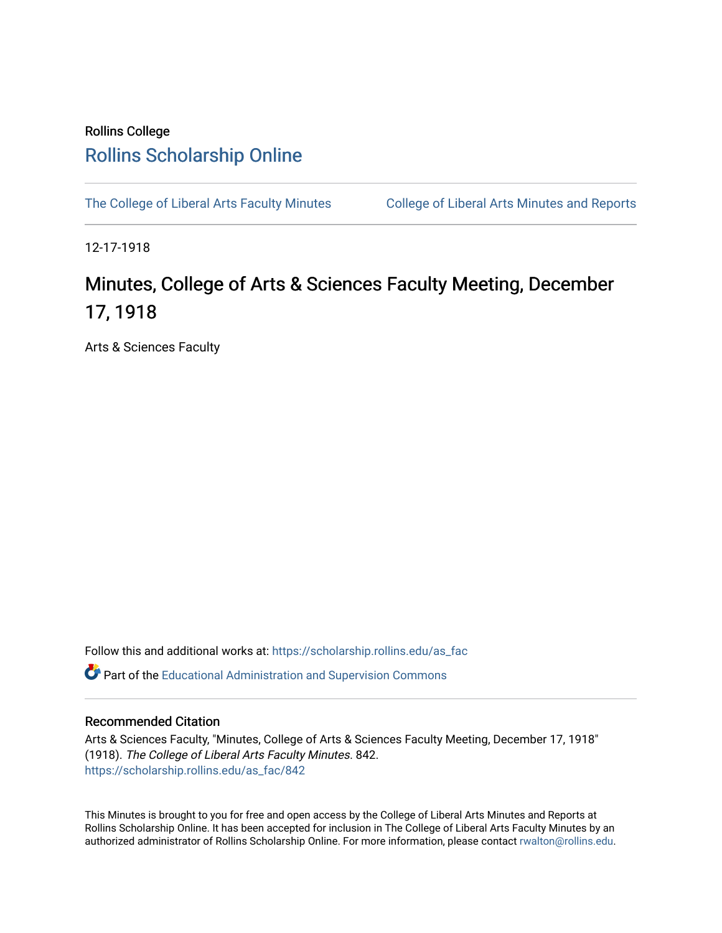## Rollins College [Rollins Scholarship Online](https://scholarship.rollins.edu/)

[The College of Liberal Arts Faculty Minutes](https://scholarship.rollins.edu/as_fac) College of Liberal Arts Minutes and Reports

12-17-1918

## Minutes, College of Arts & Sciences Faculty Meeting, December 17, 1918

Arts & Sciences Faculty

Follow this and additional works at: [https://scholarship.rollins.edu/as\\_fac](https://scholarship.rollins.edu/as_fac?utm_source=scholarship.rollins.edu%2Fas_fac%2F842&utm_medium=PDF&utm_campaign=PDFCoverPages) 

**P** Part of the [Educational Administration and Supervision Commons](http://network.bepress.com/hgg/discipline/787?utm_source=scholarship.rollins.edu%2Fas_fac%2F842&utm_medium=PDF&utm_campaign=PDFCoverPages)

## Recommended Citation

Arts & Sciences Faculty, "Minutes, College of Arts & Sciences Faculty Meeting, December 17, 1918" (1918). The College of Liberal Arts Faculty Minutes. 842. [https://scholarship.rollins.edu/as\\_fac/842](https://scholarship.rollins.edu/as_fac/842?utm_source=scholarship.rollins.edu%2Fas_fac%2F842&utm_medium=PDF&utm_campaign=PDFCoverPages) 

This Minutes is brought to you for free and open access by the College of Liberal Arts Minutes and Reports at Rollins Scholarship Online. It has been accepted for inclusion in The College of Liberal Arts Faculty Minutes by an authorized administrator of Rollins Scholarship Online. For more information, please contact [rwalton@rollins.edu](mailto:rwalton@rollins.edu).